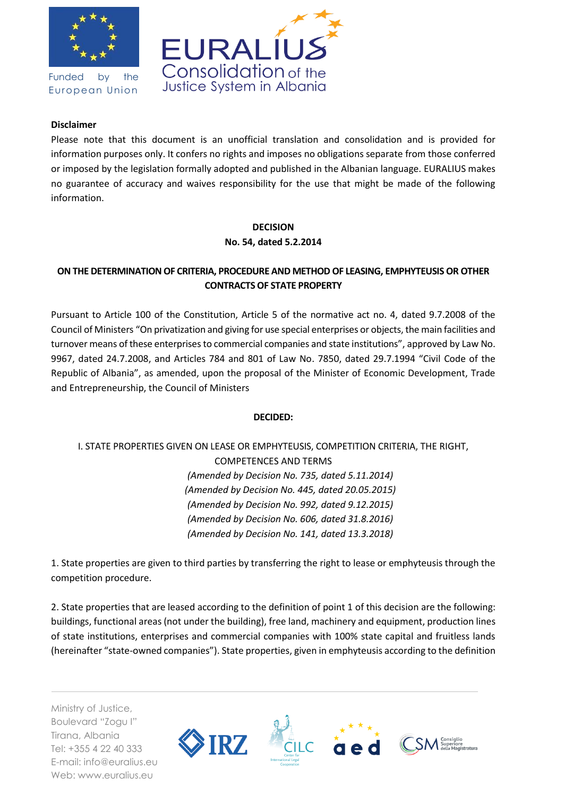

Funded by the European Union



#### **Disclaimer**

Please note that this document is an unofficial translation and consolidation and is provided for information purposes only. It confers no rights and imposes no obligations separate from those conferred or imposed by the legislation formally adopted and published in the Albanian language. EURALIUS makes no guarantee of accuracy and waives responsibility for the use that might be made of the following information.

#### **DECISION**

**No. 54, dated 5.2.2014**

## **ON THE DETERMINATION OF CRITERIA, PROCEDURE AND METHOD OF LEASING, EMPHYTEUSIS OR OTHER CONTRACTS OF STATE PROPERTY**

Pursuant to Article 100 of the Constitution, Article 5 of the normative act no. 4, dated 9.7.2008 of the Council of Ministers "On privatization and giving for use special enterprises or objects, the main facilities and turnover means of these enterprises to commercial companies and state institutions", approved by Law No. 9967, dated 24.7.2008, and Articles 784 and 801 of Law No. 7850, dated 29.7.1994 "Civil Code of the Republic of Albania", as amended, upon the proposal of the Minister of Economic Development, Trade and Entrepreneurship, the Council of Ministers

### **DECIDED:**

# I. STATE PROPERTIES GIVEN ON LEASE OR EMPHYTEUSIS, COMPETITION CRITERIA, THE RIGHT, COMPETENCES AND TERMS *(Amended by Decision No. 735, dated 5.11.2014) (Amended by Decision No. 445, dated 20.05.2015) (Amended by Decision No. 992, dated 9.12.2015) (Amended by Decision No. 606, dated 31.8.2016) (Amended by Decision No. 141, dated 13.3.2018)*

1. State properties are given to third parties by transferring the right to lease or emphyteusis through the competition procedure.

2. State properties that are leased according to the definition of point 1 of this decision are the following: buildings, functional areas (not under the building), free land, machinery and equipment, production lines of state institutions, enterprises and commercial companies with 100% state capital and fruitless lands (hereinafter "state-owned companies"). State properties, given in emphyteusis according to the definition

Ministry of Justice, Boulevard "Zogu I" Tirana, Albania Tel: +355 4 22 40 333 E-mail: info@euralius.eu Web: www.euralius.eu

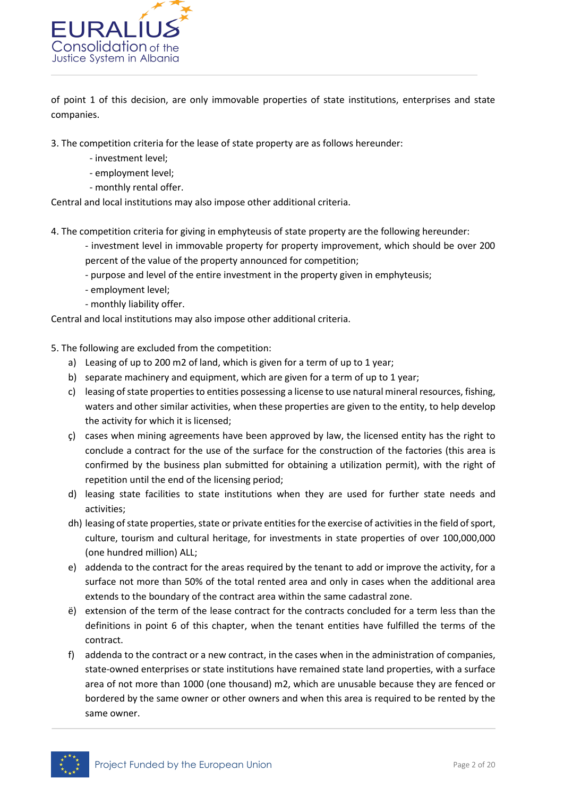

of point 1 of this decision, are only immovable properties of state institutions, enterprises and state companies.

3. The competition criteria for the lease of state property are as follows hereunder:

- investment level;
- employment level;
- monthly rental offer.

Central and local institutions may also impose other additional criteria.

- 4. The competition criteria for giving in emphyteusis of state property are the following hereunder:
	- investment level in immovable property for property improvement, which should be over 200 percent of the value of the property announced for competition;
	- purpose and level of the entire investment in the property given in emphyteusis;
	- employment level;
	- monthly liability offer.

Central and local institutions may also impose other additional criteria.

- 5. The following are excluded from the competition:
	- a) Leasing of up to 200 m2 of land, which is given for a term of up to 1 year;
	- b) separate machinery and equipment, which are given for a term of up to 1 year;
	- c) leasing of state properties to entities possessing a license to use natural mineral resources, fishing, waters and other similar activities, when these properties are given to the entity, to help develop the activity for which it is licensed;
	- ç) cases when mining agreements have been approved by law, the licensed entity has the right to conclude a contract for the use of the surface for the construction of the factories (this area is confirmed by the business plan submitted for obtaining a utilization permit), with the right of repetition until the end of the licensing period;
	- d) leasing state facilities to state institutions when they are used for further state needs and activities;
	- dh) leasing of state properties, state or private entities for the exercise of activities in the field of sport, culture, tourism and cultural heritage, for investments in state properties of over 100,000,000 (one hundred million) ALL;
	- e) addenda to the contract for the areas required by the tenant to add or improve the activity, for a surface not more than 50% of the total rented area and only in cases when the additional area extends to the boundary of the contract area within the same cadastral zone.
	- ë) extension of the term of the lease contract for the contracts concluded for a term less than the definitions in point 6 of this chapter, when the tenant entities have fulfilled the terms of the contract.
	- f) addenda to the contract or a new contract, in the cases when in the administration of companies, state-owned enterprises or state institutions have remained state land properties, with a surface area of not more than 1000 (one thousand) m2, which are unusable because they are fenced or bordered by the same owner or other owners and when this area is required to be rented by the same owner.

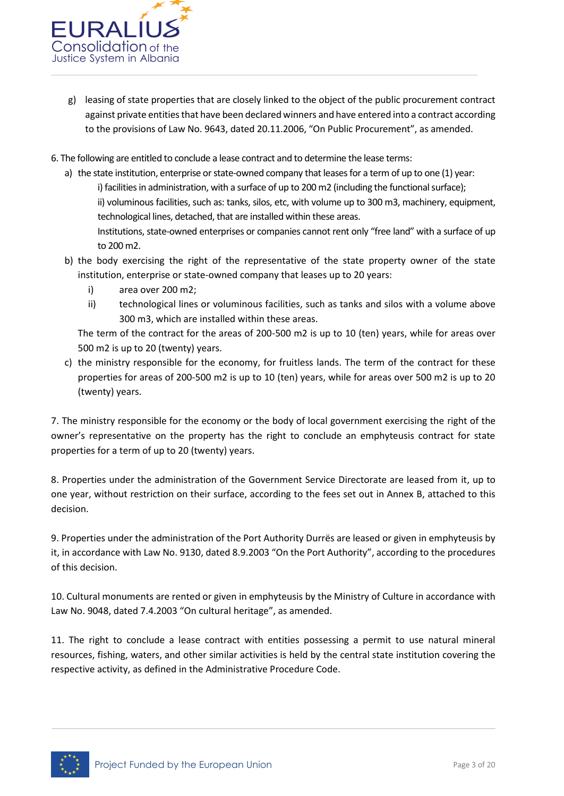

- g) leasing of state properties that are closely linked to the object of the public procurement contract against private entities that have been declared winners and have entered into a contract according to the provisions of Law No. 9643, dated 20.11.2006, "On Public Procurement", as amended.
- 6. The following are entitled to conclude a lease contract and to determine the lease terms:
	- a) the state institution, enterprise or state-owned company that leases for a term of up to one (1) year: i) facilities in administration, with a surface of up to 200 m2 (including the functional surface); ii) voluminous facilities, such as: tanks, silos, etc, with volume up to 300 m3, machinery, equipment, technological lines, detached, that are installed within these areas. Institutions, state-owned enterprises or companies cannot rent only "free land" with a surface of up to 200 m2.
	- b) the body exercising the right of the representative of the state property owner of the state institution, enterprise or state-owned company that leases up to 20 years:
		- i) area over 200 m2;
		- ii) technological lines or voluminous facilities, such as tanks and silos with a volume above 300 m3, which are installed within these areas.

The term of the contract for the areas of 200-500 m2 is up to 10 (ten) years, while for areas over 500 m2 is up to 20 (twenty) years.

c) the ministry responsible for the economy, for fruitless lands. The term of the contract for these properties for areas of 200-500 m2 is up to 10 (ten) years, while for areas over 500 m2 is up to 20 (twenty) years.

7. The ministry responsible for the economy or the body of local government exercising the right of the owner's representative on the property has the right to conclude an emphyteusis contract for state properties for a term of up to 20 (twenty) years.

8. Properties under the administration of the Government Service Directorate are leased from it, up to one year, without restriction on their surface, according to the fees set out in Annex B, attached to this decision.

9. Properties under the administration of the Port Authority Durrës are leased or given in emphyteusis by it, in accordance with Law No. 9130, dated 8.9.2003 "On the Port Authority", according to the procedures of this decision.

10. Cultural monuments are rented or given in emphyteusis by the Ministry of Culture in accordance with Law No. 9048, dated 7.4.2003 "On cultural heritage", as amended.

11. The right to conclude a lease contract with entities possessing a permit to use natural mineral resources, fishing, waters, and other similar activities is held by the central state institution covering the respective activity, as defined in the Administrative Procedure Code.

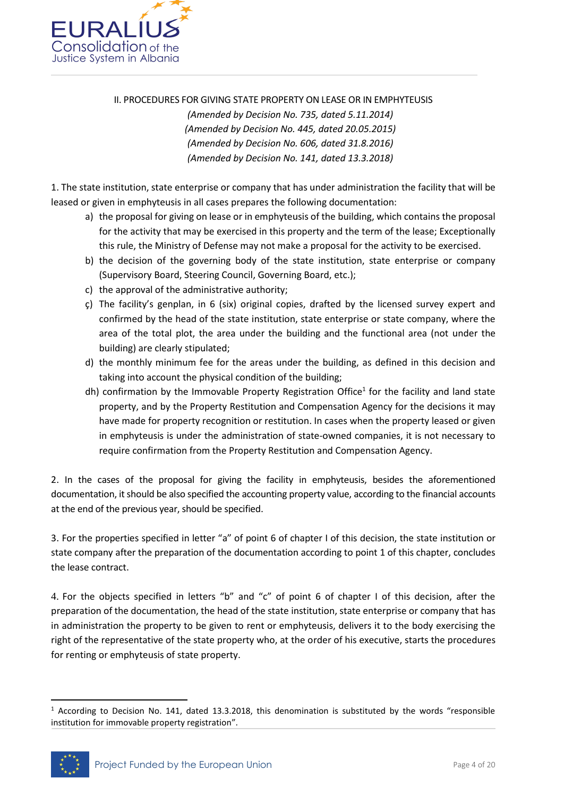

II. PROCEDURES FOR GIVING STATE PROPERTY ON LEASE OR IN EMPHYTEUSIS

*(Amended by Decision No. 735, dated 5.11.2014) (Amended by Decision No. 445, dated 20.05.2015) (Amended by Decision No. 606, dated 31.8.2016) (Amended by Decision No. 141, dated 13.3.2018)*

1. The state institution, state enterprise or company that has under administration the facility that will be leased or given in emphyteusis in all cases prepares the following documentation:

- a) the proposal for giving on lease or in emphyteusis of the building, which contains the proposal for the activity that may be exercised in this property and the term of the lease; Exceptionally this rule, the Ministry of Defense may not make a proposal for the activity to be exercised.
- b) the decision of the governing body of the state institution, state enterprise or company (Supervisory Board, Steering Council, Governing Board, etc.);
- c) the approval of the administrative authority;
- ç) The facility's genplan, in 6 (six) original copies, drafted by the licensed survey expert and confirmed by the head of the state institution, state enterprise or state company, where the area of the total plot, the area under the building and the functional area (not under the building) are clearly stipulated;
- d) the monthly minimum fee for the areas under the building, as defined in this decision and taking into account the physical condition of the building;
- dh) confirmation by the Immovable Property Registration Office<sup>1</sup> for the facility and land state property, and by the Property Restitution and Compensation Agency for the decisions it may have made for property recognition or restitution. In cases when the property leased or given in emphyteusis is under the administration of state-owned companies, it is not necessary to require confirmation from the Property Restitution and Compensation Agency.

2. In the cases of the proposal for giving the facility in emphyteusis, besides the aforementioned documentation, it should be also specified the accounting property value, according to the financial accounts at the end of the previous year, should be specified.

3. For the properties specified in letter "a" of point 6 of chapter I of this decision, the state institution or state company after the preparation of the documentation according to point 1 of this chapter, concludes the lease contract.

4. For the objects specified in letters "b" and "c" of point 6 of chapter I of this decision, after the preparation of the documentation, the head of the state institution, state enterprise or company that has in administration the property to be given to rent or emphyteusis, delivers it to the body exercising the right of the representative of the state property who, at the order of his executive, starts the procedures for renting or emphyteusis of state property.

 $1$  According to Decision No. 141, dated 13.3.2018, this denomination is substituted by the words "responsible institution for immovable property registration".



**.**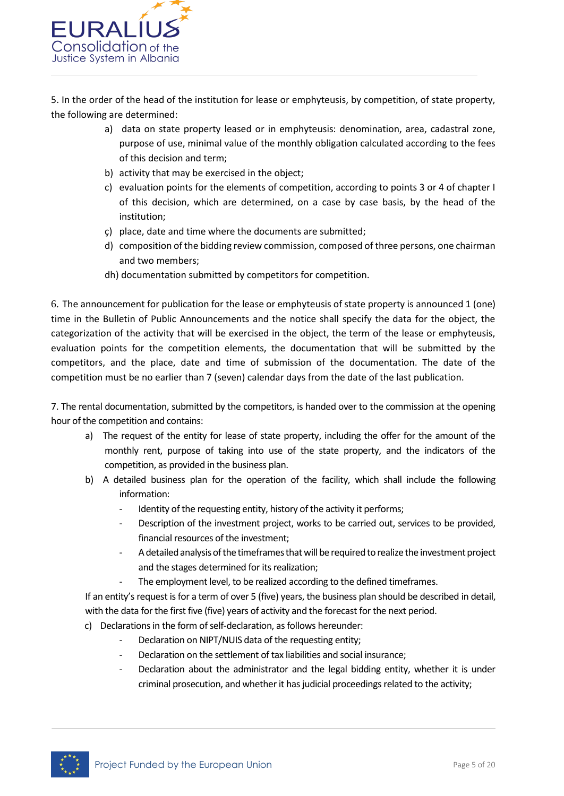

5. In the order of the head of the institution for lease or emphyteusis, by competition, of state property, the following are determined:

- a) data on state property leased or in emphyteusis: denomination, area, cadastral zone, purpose of use, minimal value of the monthly obligation calculated according to the fees of this decision and term;
- b) activity that may be exercised in the object;
- c) evaluation points for the elements of competition, according to points 3 or 4 of chapter I of this decision, which are determined, on a case by case basis, by the head of the institution;
- ç) place, date and time where the documents are submitted;
- d) composition of the bidding review commission, composed of three persons, one chairman and two members;
- dh) documentation submitted by competitors for competition.

6. The announcement for publication for the lease or emphyteusis of state property is announced 1 (one) time in the Bulletin of Public Announcements and the notice shall specify the data for the object, the categorization of the activity that will be exercised in the object, the term of the lease or emphyteusis, evaluation points for the competition elements, the documentation that will be submitted by the competitors, and the place, date and time of submission of the documentation. The date of the competition must be no earlier than 7 (seven) calendar days from the date of the last publication.

7. The rental documentation, submitted by the competitors, is handed over to the commission at the opening hour of the competition and contains:

- a) The request of the entity for lease of state property, including the offer for the amount of the monthly rent, purpose of taking into use of the state property, and the indicators of the competition, as provided in the business plan.
- b) A detailed business plan for the operation of the facility, which shall include the following information:
	- Identity of the requesting entity, history of the activity it performs;
	- Description of the investment project, works to be carried out, services to be provided, financial resources of the investment;
	- A detailed analysis of the timeframes that will be required to realize the investment project and the stages determined for its realization;
	- The employment level, to be realized according to the defined timeframes.

If an entity's request is for a term of over 5 (five) years, the business plan should be described in detail, with the data for the first five (five) years of activity and the forecast for the next period.

- c) Declarations in the form of self-declaration, as follows hereunder:
	- Declaration on NIPT/NUIS data of the requesting entity;
	- Declaration on the settlement of tax liabilities and social insurance;
	- Declaration about the administrator and the legal bidding entity, whether it is under criminal prosecution, and whether it has judicial proceedings related to the activity;

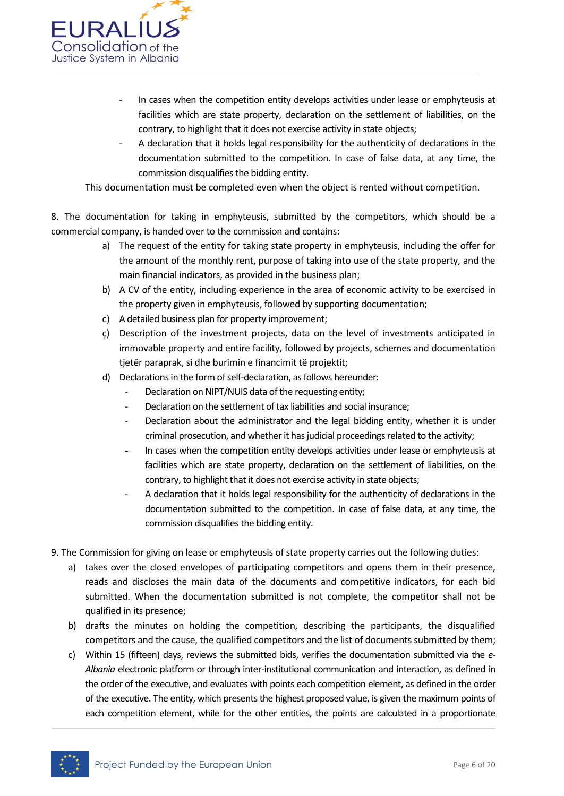

- In cases when the competition entity develops activities under lease or emphyteusis at facilities which are state property, declaration on the settlement of liabilities, on the contrary, to highlight that it does not exercise activity in state objects;
- A declaration that it holds legal responsibility for the authenticity of declarations in the documentation submitted to the competition. In case of false data, at any time, the commission disqualifies the bidding entity.

This documentation must be completed even when the object is rented without competition.

8. The documentation for taking in emphyteusis, submitted by the competitors, which should be a commercial company, is handed over to the commission and contains:

- a) The request of the entity for taking state property in emphyteusis, including the offer for the amount of the monthly rent, purpose of taking into use of the state property, and the main financial indicators, as provided in the business plan;
- b) A CV of the entity, including experience in the area of economic activity to be exercised in the property given in emphyteusis, followed by supporting documentation;
- c) A detailed business plan for property improvement;
- ç) Description of the investment projects, data on the level of investments anticipated in immovable property and entire facility, followed by projects, schemes and documentation tjetër paraprak, si dhe burimin e financimit të projektit;
- d) Declarations in the form of self-declaration, as follows hereunder:
	- Declaration on NIPT/NUIS data of the requesting entity;
		- Declaration on the settlement of tax liabilities and social insurance;
	- Declaration about the administrator and the legal bidding entity, whether it is under criminal prosecution, and whether it has judicial proceedings related to the activity;
	- In cases when the competition entity develops activities under lease or emphyteusis at facilities which are state property, declaration on the settlement of liabilities, on the contrary, to highlight that it does not exercise activity in state objects;
	- A declaration that it holds legal responsibility for the authenticity of declarations in the documentation submitted to the competition. In case of false data, at any time, the commission disqualifies the bidding entity.
- 9. The Commission for giving on lease or emphyteusis of state property carries out the following duties:
	- a) takes over the closed envelopes of participating competitors and opens them in their presence, reads and discloses the main data of the documents and competitive indicators, for each bid submitted. When the documentation submitted is not complete, the competitor shall not be qualified in its presence;
	- b) drafts the minutes on holding the competition, describing the participants, the disqualified competitors and the cause, the qualified competitors and the list of documents submitted by them;
	- c) Within 15 (fifteen) days, reviews the submitted bids, verifies the documentation submitted via the *e-Albania* electronic platform or through inter-institutional communication and interaction, as defined in the order of the executive, and evaluates with points each competition element, as defined in the order of the executive. The entity, which presents the highest proposed value, is given the maximum points of each competition element, while for the other entities, the points are calculated in a proportionate

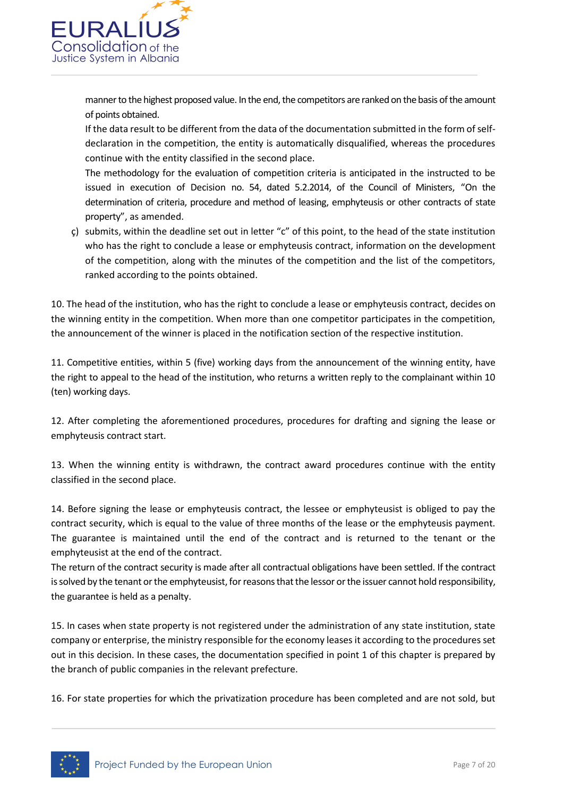

manner to the highest proposed value. In the end, the competitors are ranked on the basis of the amount of points obtained.

If the data result to be different from the data of the documentation submitted in the form of selfdeclaration in the competition, the entity is automatically disqualified, whereas the procedures continue with the entity classified in the second place.

The methodology for the evaluation of competition criteria is anticipated in the instructed to be issued in execution of Decision no. 54, dated 5.2.2014, of the Council of Ministers, "On the determination of criteria, procedure and method of leasing, emphyteusis or other contracts of state property", as amended.

ç) submits, within the deadline set out in letter "c" of this point, to the head of the state institution who has the right to conclude a lease or emphyteusis contract, information on the development of the competition, along with the minutes of the competition and the list of the competitors, ranked according to the points obtained.

10. The head of the institution, who has the right to conclude a lease or emphyteusis contract, decides on the winning entity in the competition. When more than one competitor participates in the competition, the announcement of the winner is placed in the notification section of the respective institution.

11. Competitive entities, within 5 (five) working days from the announcement of the winning entity, have the right to appeal to the head of the institution, who returns a written reply to the complainant within 10 (ten) working days.

12. After completing the aforementioned procedures, procedures for drafting and signing the lease or emphyteusis contract start.

13. When the winning entity is withdrawn, the contract award procedures continue with the entity classified in the second place.

14. Before signing the lease or emphyteusis contract, the lessee or emphyteusist is obliged to pay the contract security, which is equal to the value of three months of the lease or the emphyteusis payment. The guarantee is maintained until the end of the contract and is returned to the tenant or the emphyteusist at the end of the contract.

The return of the contract security is made after all contractual obligations have been settled. If the contract is solved by the tenant or the emphyteusist, for reasons that the lessor or the issuer cannot hold responsibility, the guarantee is held as a penalty.

15. In cases when state property is not registered under the administration of any state institution, state company or enterprise, the ministry responsible for the economy leases it according to the procedures set out in this decision. In these cases, the documentation specified in point 1 of this chapter is prepared by the branch of public companies in the relevant prefecture.

16. For state properties for which the privatization procedure has been completed and are not sold, but

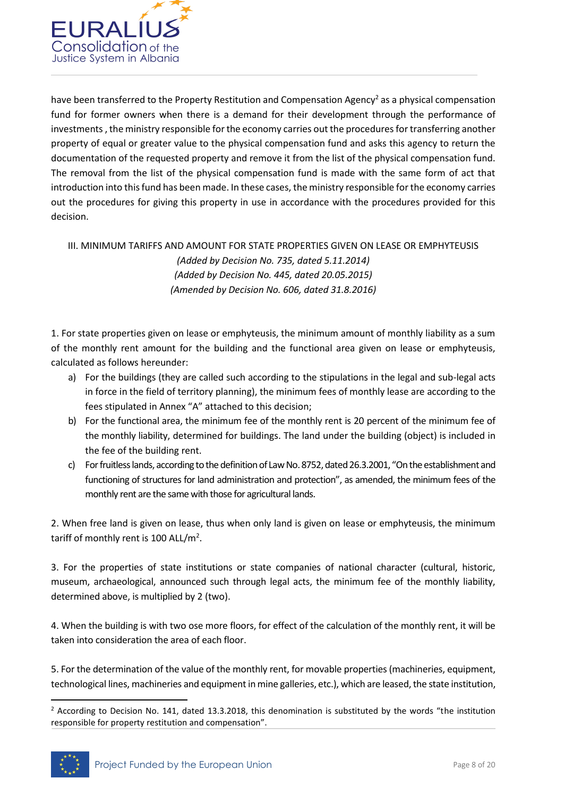

have been transferred to the Property Restitution and Compensation Agency<sup>2</sup> as a physical compensation fund for former owners when there is a demand for their development through the performance of investments , the ministry responsible for the economy carries out the procedures for transferring another property of equal or greater value to the physical compensation fund and asks this agency to return the documentation of the requested property and remove it from the list of the physical compensation fund. The removal from the list of the physical compensation fund is made with the same form of act that introduction into this fund has been made. In these cases, the ministry responsible for the economy carries out the procedures for giving this property in use in accordance with the procedures provided for this decision.

### III. MINIMUM TARIFFS AND AMOUNT FOR STATE PROPERTIES GIVEN ON LEASE OR EMPHYTEUSIS *(Added by Decision No. 735, dated 5.11.2014) (Added by Decision No. 445, dated 20.05.2015) (Amended by Decision No. 606, dated 31.8.2016)*

1. For state properties given on lease or emphyteusis, the minimum amount of monthly liability as a sum of the monthly rent amount for the building and the functional area given on lease or emphyteusis, calculated as follows hereunder:

- a) For the buildings (they are called such according to the stipulations in the legal and sub-legal acts in force in the field of territory planning), the minimum fees of monthly lease are according to the fees stipulated in Annex "A" attached to this decision;
- b) For the functional area, the minimum fee of the monthly rent is 20 percent of the minimum fee of the monthly liability, determined for buildings. The land under the building (object) is included in the fee of the building rent.
- c) For fruitless lands, according to the definition of Law No. 8752, dated 26.3.2001, "On the establishment and functioning of structures for land administration and protection", as amended, the minimum fees of the monthly rent are the same with those for agricultural lands.

2. When free land is given on lease, thus when only land is given on lease or emphyteusis, the minimum tariff of monthly rent is 100 ALL/m<sup>2</sup>.

3. For the properties of state institutions or state companies of national character (cultural, historic, museum, archaeological, announced such through legal acts, the minimum fee of the monthly liability, determined above, is multiplied by 2 (two).

4. When the building is with two ose more floors, for effect of the calculation of the monthly rent, it will be taken into consideration the area of each floor.

5. For the determination of the value of the monthly rent, for movable properties (machineries, equipment, technological lines, machineries and equipment in mine galleries, etc.), which are leased, the state institution,

 $<sup>2</sup>$  According to Decision No. 141, dated 13.3.2018, this denomination is substituted by the words "the institution</sup> responsible for property restitution and compensation".



**.**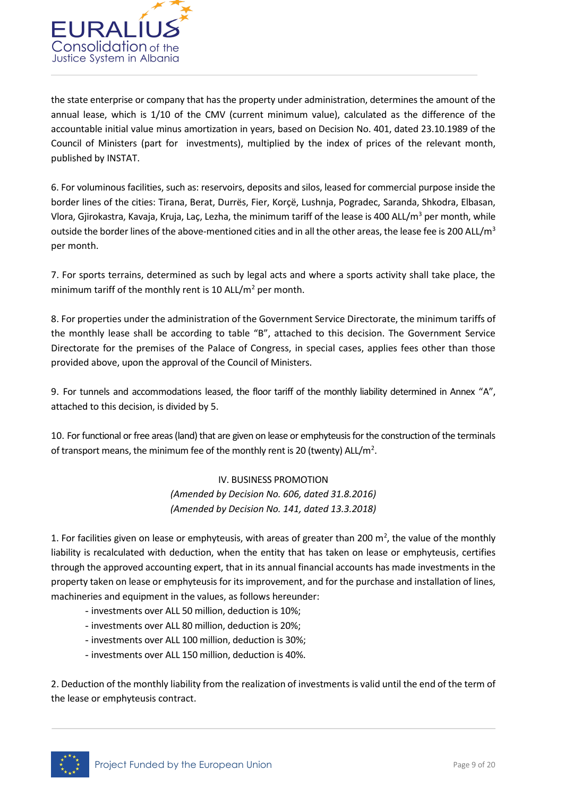

the state enterprise or company that has the property under administration, determines the amount of the annual lease, which is 1/10 of the CMV (current minimum value), calculated as the difference of the accountable initial value minus amortization in years, based on Decision No. 401, dated 23.10.1989 of the Council of Ministers (part for investments), multiplied by the index of prices of the relevant month, published by INSTAT.

6. For voluminous facilities, such as: reservoirs, deposits and silos, leased for commercial purpose inside the border lines of the cities: Tirana, Berat, Durrës, Fier, Korçë, Lushnja, Pogradec, Saranda, Shkodra, Elbasan, Vlora, Gjirokastra, Kavaja, Kruja, Laç, Lezha, the minimum tariff of the lease is 400 ALL/m<sup>3</sup> per month, while outside the border lines of the above-mentioned cities and in all the other areas, the lease fee is 200 ALL/m<sup>3</sup> per month.

7. For sports terrains, determined as such by legal acts and where a sports activity shall take place, the minimum tariff of the monthly rent is 10 ALL/ $m<sup>2</sup>$  per month.

8. For properties under the administration of the Government Service Directorate, the minimum tariffs of the monthly lease shall be according to table "B", attached to this decision. The Government Service Directorate for the premises of the Palace of Congress, in special cases, applies fees other than those provided above, upon the approval of the Council of Ministers.

9. For tunnels and accommodations leased, the floor tariff of the monthly liability determined in Annex "A", attached to this decision, is divided by 5.

10. For functional or free areas (land) that are given on lease or emphyteusisfor the construction of the terminals of transport means, the minimum fee of the monthly rent is 20 (twenty) ALL/m<sup>2</sup>.

> IV. BUSINESS PROMOTION *(Amended by Decision No. 606, dated 31.8.2016) (Amended by Decision No. 141, dated 13.3.2018)*

1. For facilities given on lease or emphyteusis, with areas of greater than 200  $m^2$ , the value of the monthly liability is recalculated with deduction, when the entity that has taken on lease or emphyteusis, certifies through the approved accounting expert, that in its annual financial accounts has made investments in the property taken on lease or emphyteusis for its improvement, and for the purchase and installation of lines, machineries and equipment in the values, as follows hereunder:

- investments over ALL 50 million, deduction is 10%;
- investments over ALL 80 million, deduction is 20%;
- investments over ALL 100 million, deduction is 30%;
- investments over ALL 150 million, deduction is 40%.

2. Deduction of the monthly liability from the realization of investments is valid until the end of the term of the lease or emphyteusis contract.

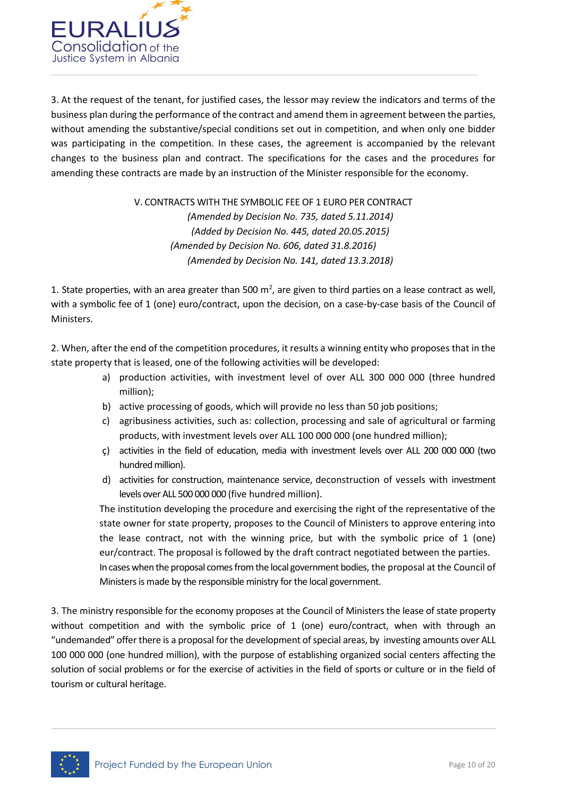

3. At the request of the tenant, for justified cases, the lessor may review the indicators and terms of the business plan during the performance of the contract and amend them in agreement between the parties, without amending the substantive/special conditions set out in competition, and when only one bidder was participating in the competition. In these cases, the agreement is accompanied by the relevant changes to the business plan and contract. The specifications for the cases and the procedures for amending these contracts are made by an instruction of the Minister responsible for the economy.

> V. CONTRACTS WITH THE SYMBOLIC FEE OF 1 EURO PER CONTRACT *(Amended by Decision No. 735, dated 5.11.2014) (Added by Decision No. 445, dated 20.05.2015) (Amended by Decision No. 606, dated 31.8.2016) (Amended by Decision No. 141, dated 13.3.2018)*

1. State properties, with an area greater than 500  $m^2$ , are given to third parties on a lease contract as well, with a symbolic fee of 1 (one) euro/contract, upon the decision, on a case-by-case basis of the Council of Ministers.

2. When, after the end of the competition procedures, it results a winning entity who proposes that in the state property that is leased, one of the following activities will be developed:

- a) production activities, with investment level of over ALL 300 000 000 (three hundred million);
- b) active processing of goods, which will provide no less than 50 job positions;
- c) agribusiness activities, such as: collection, processing and sale of agricultural or farming products, with investment levels over ALL 100 000 000 (one hundred million);
- ç) activities in the field of education, media with investment levels over ALL 200 000 000 (two hundred million).
- d) activities for construction, maintenance service, deconstruction of vessels with investment levels over ALL 500 000 000 (five hundred million).

The institution developing the procedure and exercising the right of the representative of the state owner for state property, proposes to the Council of Ministers to approve entering into the lease contract, not with the winning price, but with the symbolic price of 1 (one) eur/contract. The proposal is followed by the draft contract negotiated between the parties. In cases when the proposal comes from the local government bodies, the proposal at the Council of Ministers is made by the responsible ministry for the local government.

3. The ministry responsible for the economy proposes at the Council of Ministers the lease of state property without competition and with the symbolic price of 1 (one) euro/contract, when with through an "undemanded" offer there is a proposal for the development of special areas, by investing amounts over ALL 100 000 000 (one hundred million), with the purpose of establishing organized social centers affecting the solution of social problems or for the exercise of activities in the field of sports or culture or in the field of tourism or cultural heritage.

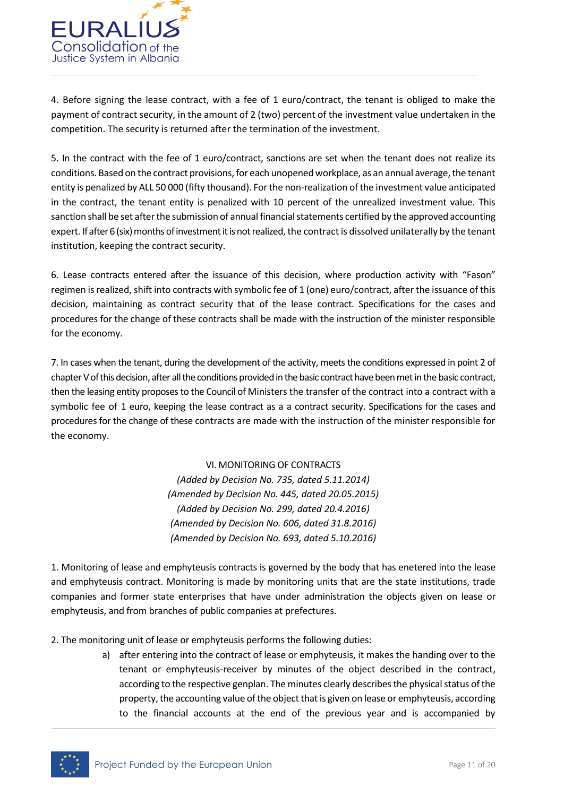

4. Before signing the lease contract, with a fee of 1 euro/contract, the tenant is obliged to make the payment of contract security, in the amount of 2 (two) percent of the investment value undertaken in the competition. The security is returned after the termination of the investment.

5. In the contract with the fee of 1 euro/contract, sanctions are set when the tenant does not realize its conditions. Based on the contract provisions, for each unopened workplace, as an annual average, the tenant entity is penalized by ALL 50 000 (fifty thousand). For the non-realization of the investment value anticipated in the contract, the tenant entity is penalized with 10 percent of the unrealized investment value. This sanction shall be set after the submission of annual financial statements certified by the approved accounting expert. If after 6 (six) months of investment it is not realized, the contract is dissolved unilaterally by the tenant institution, keeping the contract security.

6. Lease contracts entered after the issuance of this decision, where production activity with "Fason" regimen is realized, shift into contracts with symbolic fee of 1 (one) euro/contract, after the issuance of this decision, maintaining as contract security that of the lease contract. Specifications for the cases and procedures for the change of these contracts shall be made with the instruction of the minister responsible for the economy.

7. In cases when the tenant, during the development of the activity, meets the conditions expressed in point 2 of chapter V of this decision, after all the conditions provided in the basic contract have been metin the basic contract, then the leasing entity proposes to the Council of Ministers the transfer of the contract into a contract with a symbolic fee of 1 euro, keeping the lease contract as a a contract security. Specifications for the cases and procedures for the change of these contracts are made with the instruction of the minister responsible for the economy.

> VI. MONITORING OF CONTRACTS *(Added by Decision No. 735, dated 5.11.2014) (Amended by Decision No. 445, dated 20.05.2015) (Added by Decision No. 299, dated 20.4.2016) (Amended by Decision No. 606, dated 31.8.2016) (Amended by Decision No. 693, dated 5.10.2016)*

1. Monitoring of lease and emphyteusis contracts is governed by the body that has enetered into the lease and emphyteusis contract. Monitoring is made by monitoring units that are the state institutions, trade companies and former state enterprises that have under administration the objects given on lease or emphyteusis, and from branches of public companies at prefectures.

2. The monitoring unit of lease or emphyteusis performs the following duties:

a) after entering into the contract of lease or emphyteusis, it makes the handing over to the tenant or emphyteusis-receiver by minutes of the object described in the contract, according to the respective genplan. The minutes clearly describes the physical status of the property, the accounting value of the object that is given on lease or emphyteusis, according to the financial accounts at the end of the previous year and is accompanied by

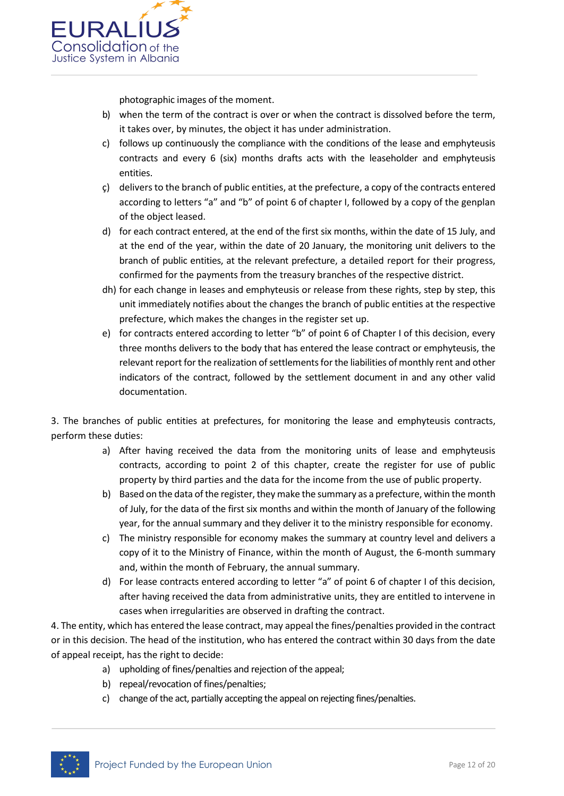

photographic images of the moment.

- b) when the term of the contract is over or when the contract is dissolved before the term, it takes over, by minutes, the object it has under administration.
- c) follows up continuously the compliance with the conditions of the lease and emphyteusis contracts and every 6 (six) months drafts acts with the leaseholder and emphyteusis entities.
- ç) delivers to the branch of public entities, at the prefecture, a copy of the contracts entered according to letters "a" and "b" of point 6 of chapter I, followed by a copy of the genplan of the object leased.
- d) for each contract entered, at the end of the first six months, within the date of 15 July, and at the end of the year, within the date of 20 January, the monitoring unit delivers to the branch of public entities, at the relevant prefecture, a detailed report for their progress, confirmed for the payments from the treasury branches of the respective district.
- dh) for each change in leases and emphyteusis or release from these rights, step by step, this unit immediately notifies about the changes the branch of public entities at the respective prefecture, which makes the changes in the register set up.
- e) for contracts entered according to letter "b" of point 6 of Chapter I of this decision, every three months delivers to the body that has entered the lease contract or emphyteusis, the relevant report for the realization of settlements for the liabilities of monthly rent and other indicators of the contract, followed by the settlement document in and any other valid documentation.

3. The branches of public entities at prefectures, for monitoring the lease and emphyteusis contracts, perform these duties:

- a) After having received the data from the monitoring units of lease and emphyteusis contracts, according to point 2 of this chapter, create the register for use of public property by third parties and the data for the income from the use of public property.
- b) Based on the data of the register, they make the summary as a prefecture, within the month of July, for the data of the first six months and within the month of January of the following year, for the annual summary and they deliver it to the ministry responsible for economy.
- c) The ministry responsible for economy makes the summary at country level and delivers a copy of it to the Ministry of Finance, within the month of August, the 6-month summary and, within the month of February, the annual summary.
- d) For lease contracts entered according to letter "a" of point 6 of chapter I of this decision, after having received the data from administrative units, they are entitled to intervene in cases when irregularities are observed in drafting the contract.

4. The entity, which has entered the lease contract, may appeal the fines/penalties provided in the contract or in this decision. The head of the institution, who has entered the contract within 30 days from the date of appeal receipt, has the right to decide:

- a) upholding of fines/penalties and rejection of the appeal;
- b) repeal/revocation of fines/penalties;
- c) change of the act, partially accepting the appeal on rejecting fines/penalties.

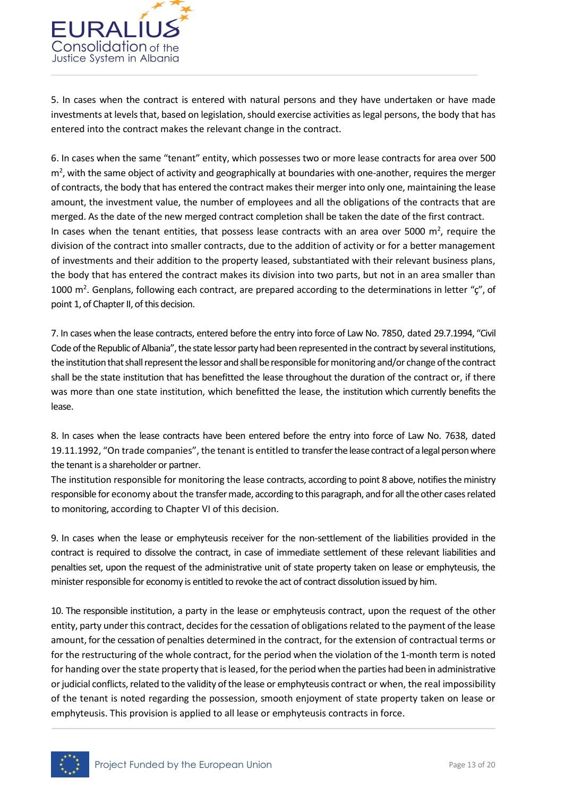

5. In cases when the contract is entered with natural persons and they have undertaken or have made investments at levels that, based on legislation, should exercise activities as legal persons, the body that has entered into the contract makes the relevant change in the contract.

6. In cases when the same "tenant" entity, which possesses two or more lease contracts for area over 500 m<sup>2</sup>, with the same object of activity and geographically at boundaries with one-another, requires the merger of contracts, the body that has entered the contract makes their merger into only one, maintaining the lease amount, the investment value, the number of employees and all the obligations of the contracts that are merged. As the date of the new merged contract completion shall be taken the date of the first contract. In cases when the tenant entities, that possess lease contracts with an area over 5000  $m^2$ , require the division of the contract into smaller contracts, due to the addition of activity or for a better management of investments and their addition to the property leased, substantiated with their relevant business plans, the body that has entered the contract makes its division into two parts, but not in an area smaller than 1000  $m^2$ . Genplans, following each contract, are prepared according to the determinations in letter " $\zeta$ ", of point 1, of Chapter II, of this decision.

7. In cases when the lease contracts, entered before the entry into force of Law No. 7850, dated 29.7.1994, "Civil Code of the Republic of Albania", the state lessor party had been represented in the contract by several institutions, the institution that shall represent the lessor and shall be responsible for monitoring and/or change of the contract shall be the state institution that has benefitted the lease throughout the duration of the contract or, if there was more than one state institution, which benefitted the lease, the institution which currently benefits the lease.

8. In cases when the lease contracts have been entered before the entry into force of Law No. 7638, dated 19.11.1992, "On trade companies", the tenant is entitled to transfer the lease contract of a legal person where the tenant is a shareholder or partner.

The institution responsible for monitoring the lease contracts, according to point 8 above, notifies the ministry responsible for economy about the transfer made, according to this paragraph, and for all the other casesrelated to monitoring, according to Chapter VI of this decision.

9. In cases when the lease or emphyteusis receiver for the non-settlement of the liabilities provided in the contract is required to dissolve the contract, in case of immediate settlement of these relevant liabilities and penalties set, upon the request of the administrative unit of state property taken on lease or emphyteusis, the minister responsible for economy is entitled to revoke the act of contract dissolution issued by him.

10. The responsible institution, a party in the lease or emphyteusis contract, upon the request of the other entity, party under this contract, decides for the cessation of obligations related to the payment of the lease amount, for the cessation of penalties determined in the contract, for the extension of contractual terms or for the restructuring of the whole contract, for the period when the violation of the 1-month term is noted for handing over the state property that is leased, for the period when the parties had been in administrative or judicial conflicts, related to the validity of the lease or emphyteusis contract or when, the real impossibility of the tenant is noted regarding the possession, smooth enjoyment of state property taken on lease or emphyteusis. This provision is applied to all lease or emphyteusis contracts in force.

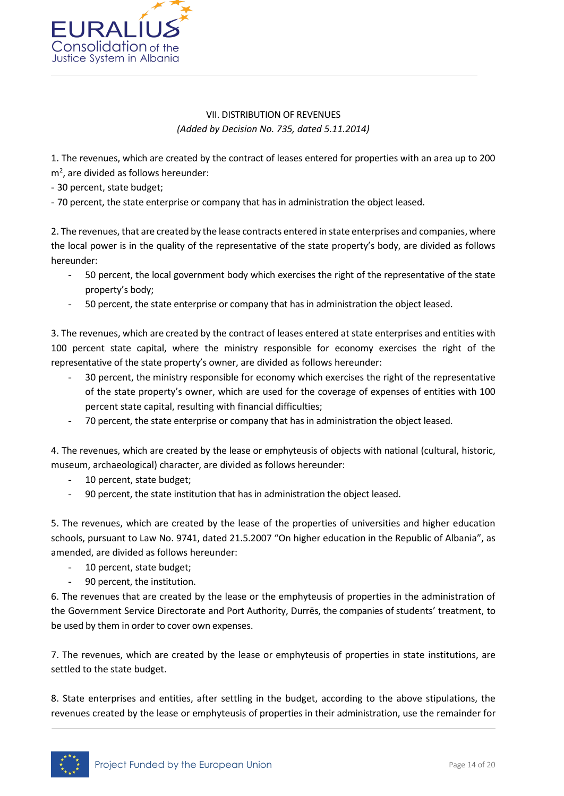

### VII. DISTRIBUTION OF REVENUES *(Added by Decision No. 735, dated 5.11.2014)*

1. The revenues, which are created by the contract of leases entered for properties with an area up to 200  $m<sup>2</sup>$ , are divided as follows hereunder:

- 30 percent, state budget;

- 70 percent, the state enterprise or company that has in administration the object leased.

2. The revenues, that are created by the lease contracts entered in state enterprises and companies, where the local power is in the quality of the representative of the state property's body, are divided as follows hereunder:

- 50 percent, the local government body which exercises the right of the representative of the state property's body;
- 50 percent, the state enterprise or company that has in administration the object leased.

3. The revenues, which are created by the contract of leases entered at state enterprises and entities with 100 percent state capital, where the ministry responsible for economy exercises the right of the representative of the state property's owner, are divided as follows hereunder:

- 30 percent, the ministry responsible for economy which exercises the right of the representative of the state property's owner, which are used for the coverage of expenses of entities with 100 percent state capital, resulting with financial difficulties;
- 70 percent, the state enterprise or company that has in administration the object leased.

4. The revenues, which are created by the lease or emphyteusis of objects with national (cultural, historic, museum, archaeological) character, are divided as follows hereunder:

- 10 percent, state budget;
- 90 percent, the state institution that has in administration the object leased.

5. The revenues, which are created by the lease of the properties of universities and higher education schools, pursuant to Law No. 9741, dated 21.5.2007 "On higher education in the Republic of Albania", as amended, are divided as follows hereunder:

- 10 percent, state budget;
- 90 percent, the institution.

6. The revenues that are created by the lease or the emphyteusis of properties in the administration of the Government Service Directorate and Port Authority, Durrës, the companies of students' treatment, to be used by them in order to cover own expenses.

7. The revenues, which are created by the lease or emphyteusis of properties in state institutions, are settled to the state budget.

8. State enterprises and entities, after settling in the budget, according to the above stipulations, the revenues created by the lease or emphyteusis of properties in their administration, use the remainder for

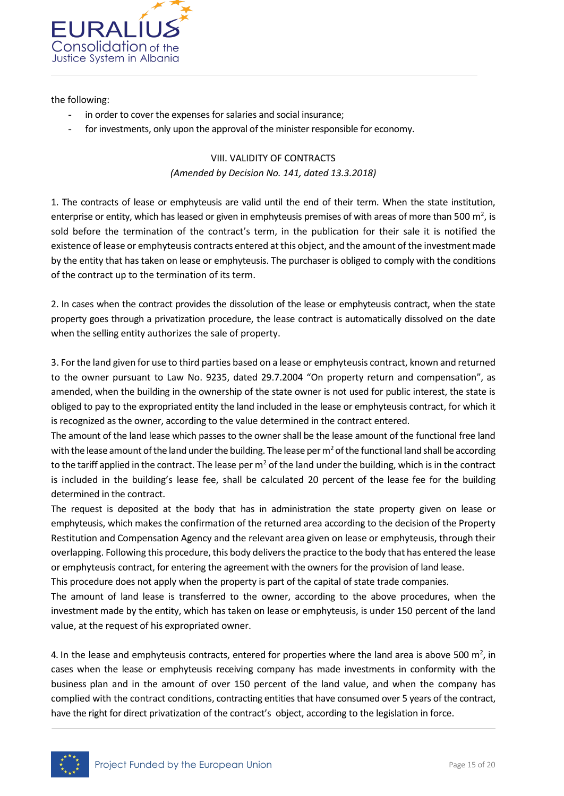

the following:

- in order to cover the expenses for salaries and social insurance;
- for investments, only upon the approval of the minister responsible for economy.

## VIII. VALIDITY OF CONTRACTS *(Amended by Decision No. 141, dated 13.3.2018)*

1. The contracts of lease or emphyteusis are valid until the end of their term. When the state institution, enterprise or entity, which has leased or given in emphyteusis premises of with areas of more than 500 m<sup>2</sup>, is sold before the termination of the contract's term, in the publication for their sale it is notified the existence of lease or emphyteusis contracts entered at this object, and the amount of the investment made by the entity that has taken on lease or emphyteusis. The purchaser is obliged to comply with the conditions of the contract up to the termination of its term.

2. In cases when the contract provides the dissolution of the lease or emphyteusis contract, when the state property goes through a privatization procedure, the lease contract is automatically dissolved on the date when the selling entity authorizes the sale of property.

3. For the land given for use to third parties based on a lease or emphyteusis contract, known and returned to the owner pursuant to Law No. 9235, dated 29.7.2004 "On property return and compensation", as amended, when the building in the ownership of the state owner is not used for public interest, the state is obliged to pay to the expropriated entity the land included in the lease or emphyteusis contract, for which it is recognized as the owner, according to the value determined in the contract entered.

The amount of the land lease which passes to the owner shall be the lease amount of the functional free land with the lease amount of the land under the building. The lease per  $m^2$  of the functional land shall be according to the tariff applied in the contract. The lease per  $m<sup>2</sup>$  of the land under the building, which is in the contract is included in the building's lease fee, shall be calculated 20 percent of the lease fee for the building determined in the contract.

The request is deposited at the body that has in administration the state property given on lease or emphyteusis, which makes the confirmation of the returned area according to the decision of the Property Restitution and Compensation Agency and the relevant area given on lease or emphyteusis, through their overlapping. Following this procedure, this body delivers the practice to the body that has entered the lease or emphyteusis contract, for entering the agreement with the owners for the provision of land lease.

This procedure does not apply when the property is part of the capital of state trade companies.

The amount of land lease is transferred to the owner, according to the above procedures, when the investment made by the entity, which has taken on lease or emphyteusis, is under 150 percent of the land value, at the request of his expropriated owner.

4. In the lease and emphyteusis contracts, entered for properties where the land area is above 500 m<sup>2</sup>, in cases when the lease or emphyteusis receiving company has made investments in conformity with the business plan and in the amount of over 150 percent of the land value, and when the company has complied with the contract conditions, contracting entities that have consumed over 5 years of the contract, have the right for direct privatization of the contract's object, according to the legislation in force.

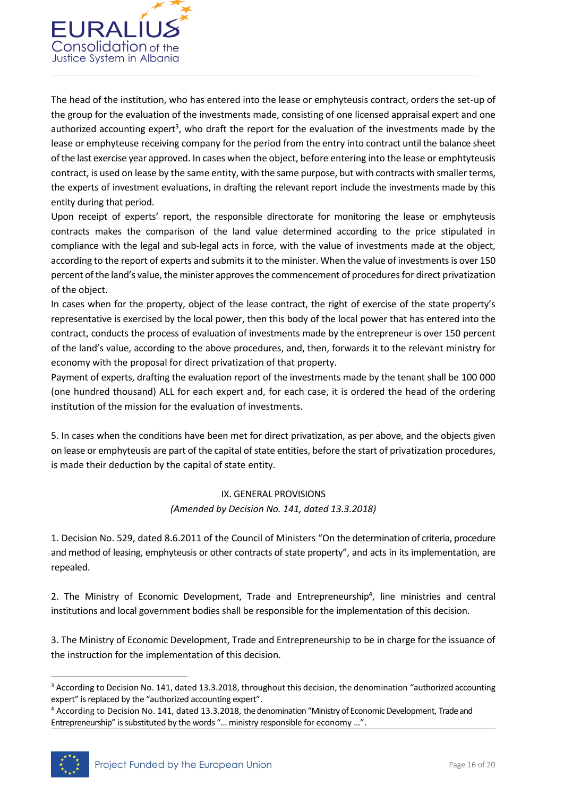

The head of the institution, who has entered into the lease or emphyteusis contract, orders the set-up of the group for the evaluation of the investments made, consisting of one licensed appraisal expert and one authorized accounting expert<sup>3</sup>, who draft the report for the evaluation of the investments made by the lease or emphyteuse receiving company for the period from the entry into contract until the balance sheet of the last exercise year approved. In cases when the object, before entering into the lease or emphtyteusis contract, is used on lease by the same entity, with the same purpose, but with contracts with smaller terms, the experts of investment evaluations, in drafting the relevant report include the investments made by this entity during that period.

Upon receipt of experts' report, the responsible directorate for monitoring the lease or emphyteusis contracts makes the comparison of the land value determined according to the price stipulated in compliance with the legal and sub-legal acts in force, with the value of investments made at the object, according to the report of experts and submits it to the minister. When the value of investments is over 150 percent of the land's value, the minister approves the commencement of procedures for direct privatization of the object.

In cases when for the property, object of the lease contract, the right of exercise of the state property's representative is exercised by the local power, then this body of the local power that has entered into the contract, conducts the process of evaluation of investments made by the entrepreneur is over 150 percent of the land's value, according to the above procedures, and, then, forwards it to the relevant ministry for economy with the proposal for direct privatization of that property.

Payment of experts, drafting the evaluation report of the investments made by the tenant shall be 100 000 (one hundred thousand) ALL for each expert and, for each case, it is ordered the head of the ordering institution of the mission for the evaluation of investments.

5. In cases when the conditions have been met for direct privatization, as per above, and the objects given on lease or emphyteusis are part of the capital of state entities, before the start of privatization procedures, is made their deduction by the capital of state entity.

#### IX. GENERAL PROVISIONS *(Amended by Decision No. 141, dated 13.3.2018)*

1. Decision No. 529, dated 8.6.2011 of the Council of Ministers "On the determination of criteria, procedure and method of leasing, emphyteusis or other contracts of state property", and acts in its implementation, are repealed.

2. The Ministry of Economic Development, Trade and Entrepreneurship<sup>4</sup>, line ministries and central institutions and local government bodies shall be responsible for the implementation of this decision.

3. The Ministry of Economic Development, Trade and Entrepreneurship to be in charge for the issuance of the instruction for the implementation of this decision.

<sup>4</sup> According to Decision No. 141, dated 13.3.2018, the denomination "Ministry of Economic Development, Trade and Entrepreneurship" is substituted by the words "… ministry responsible for economy …".



**.** 

<sup>&</sup>lt;sup>3</sup> According to Decision No. 141, dated 13.3.2018, throughout this decision, the denomination "authorized accounting expert" is replaced by the "authorized accounting expert".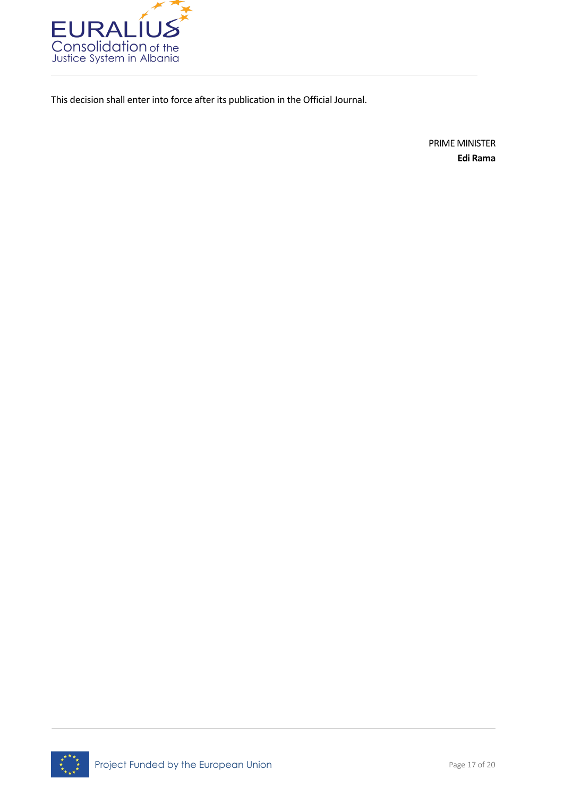

This decision shall enter into force after its publication in the Official Journal.

PRIME MINISTER **Edi Rama**

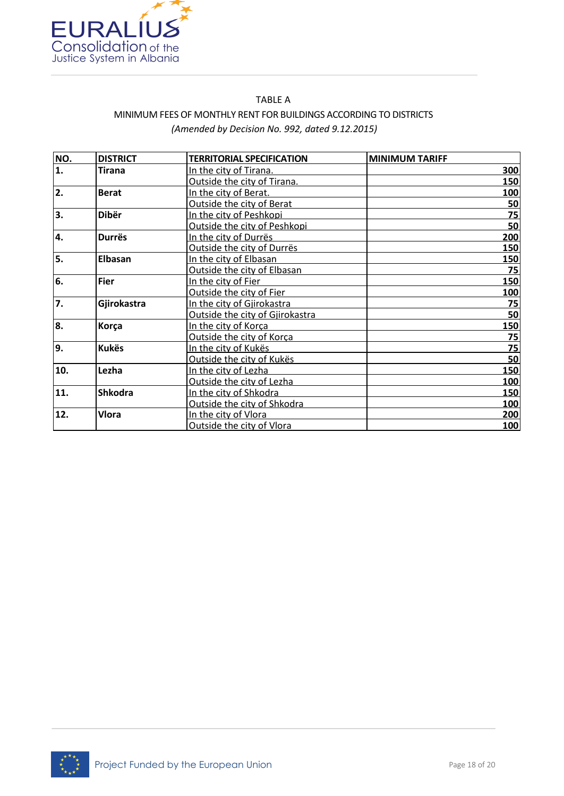

### TABLE A MINIMUM FEES OF MONTHLY RENT FOR BUILDINGS ACCORDING TO DISTRICTS *(Amended by Decision No. 992, dated 9.12.2015)*

| NO.              | <b>DISTRICT</b> | <b>TERRITORIAL SPECIFICATION</b> | <b>MINIMUM TARIFF</b> |
|------------------|-----------------|----------------------------------|-----------------------|
| 1.               | <b>Tirana</b>   | In the city of Tirana.           | 300                   |
|                  |                 | Outside the city of Tirana.      | 150                   |
| $\overline{2}$ . | <b>Berat</b>    | In the city of Berat.            | 100                   |
|                  |                 | Outside the city of Berat        | 50                    |
| 3.               | Dibër           | In the city of Peshkopi          | 75                    |
|                  |                 | Outside the city of Peshkopi     | 50                    |
| 4.               | <b>Durrës</b>   | In the city of Durrës            | 200                   |
|                  |                 | Outside the city of Durrës       | 150                   |
| 5.               | <b>Elbasan</b>  | In the city of Elbasan           | 150                   |
|                  |                 | Outside the city of Elbasan      | 75                    |
| 6.               | <b>Fier</b>     | In the city of Fier              | 150                   |
|                  |                 | Outside the city of Fier         | <b>100</b>            |
| 7.               | Gjirokastra     | In the city of Gjirokastra       | 75                    |
|                  |                 | Outside the city of Gjirokastra  | 50                    |
| 8.               | Korça           | In the city of Korca             | 150                   |
|                  |                 | Outside the city of Korca        | 75                    |
| 9.               | <b>Kukës</b>    | In the city of Kukës             | 75                    |
|                  |                 | Outside the city of Kukës        | 50                    |
| 10.              | Lezha           | In the city of Lezha             | <b>150</b>            |
|                  |                 | Outside the city of Lezha        | 100                   |
| 11.              | <b>Shkodra</b>  | In the city of Shkodra           | 150                   |
|                  |                 | Outside the city of Shkodra      | 100                   |
| 12.              | <b>Vlora</b>    | In the city of Vlora             | 200                   |
|                  |                 | Outside the city of Vlora        | 100                   |

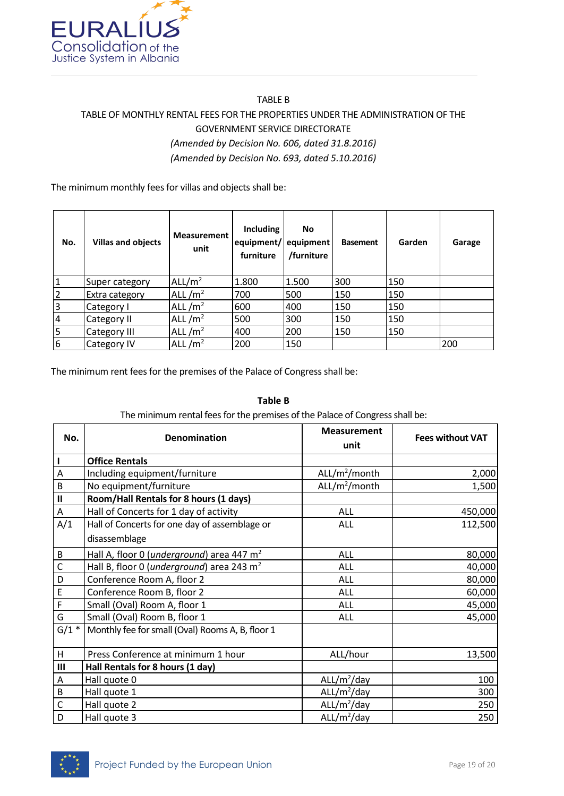

## TABLE B TABLE OF MONTHLY RENTAL FEES FOR THE PROPERTIES UNDER THE ADMINISTRATION OF THE GOVERNMENT SERVICE DIRECTORATE *(Amended by Decision No. 606, dated 31.8.2016) (Amended by Decision No. 693, dated 5.10.2016)*

The minimum monthly fees for villas and objects shall be:

| No.             | <b>Villas and objects</b> | <b>Measurement</b><br>unit | Including<br>equipment/ equipment<br>furniture | No.<br>/furniture | <b>Basement</b> | Garden | Garage |
|-----------------|---------------------------|----------------------------|------------------------------------------------|-------------------|-----------------|--------|--------|
| $\mathbf{1}$    | Super category            | ALL/ $m2$                  | 1.800                                          | 1.500             | 300             | 150    |        |
| $\overline{2}$  | Extra category            | ALL $/m2$                  | 700                                            | 500               | 150             | 150    |        |
| 3               | Category I                | ALL $/m2$                  | 600                                            | 400               | 150             | 150    |        |
| $\overline{4}$  | Category II               | ALL $/m2$                  | 500                                            | 300               | 150             | 150    |        |
| 5               | Category III              | ALL $/m2$                  | 400                                            | 200               | 150             | 150    |        |
| $6\phantom{1}6$ | <b>Category IV</b>        | ALL $/m2$                  | 200                                            | 150               |                 |        | 200    |

The minimum rent fees for the premises of the Palace of Congress shall be:

#### **Table B**

The minimum rental fees for the premises of the Palace of Congress shall be:

| No.            | Denomination                                          | <b>Measurement</b><br>unit | <b>Fees without VAT</b> |
|----------------|-------------------------------------------------------|----------------------------|-------------------------|
|                | <b>Office Rentals</b>                                 |                            |                         |
| Α              | Including equipment/furniture                         | ALL/m <sup>2</sup> /month  | 2,000                   |
| B              | No equipment/furniture                                | ALL/m <sup>2</sup> /month  | 1,500                   |
| $\mathbf{I}$   | Room/Hall Rentals for 8 hours (1 days)                |                            |                         |
| А              | Hall of Concerts for 1 day of activity                | ALL                        | 450,000                 |
| A/1            | Hall of Concerts for one day of assemblage or         | ALL                        | 112,500                 |
|                | disassemblage                                         |                            |                         |
| B              | Hall A, floor 0 (underground) area 447 m <sup>2</sup> | ALL                        | 80,000                  |
| $\mathsf{C}$   | Hall B, floor 0 (underground) area 243 m <sup>2</sup> | ALL                        | 40,000                  |
| D              | Conference Room A, floor 2                            | ALL                        | 80,000                  |
| E              | Conference Room B, floor 2                            | ALL                        | 60,000                  |
| F              | Small (Oval) Room A, floor 1                          | ALL                        | 45,000                  |
| G              | Small (Oval) Room B, floor 1                          | ALL                        | 45,000                  |
| $G/1$ *        | Monthly fee for small (Oval) Rooms A, B, floor 1      |                            |                         |
| H              | Press Conference at minimum 1 hour                    | ALL/hour                   | 13,500                  |
| $\mathbf{III}$ | Hall Rentals for 8 hours (1 day)                      |                            |                         |
| A              | Hall quote 0                                          | ALL/m <sup>2</sup> /day    | 100                     |
| B              | Hall quote 1                                          | ALL/m <sup>2</sup> /day    | 300                     |
| $\mathsf{C}$   | Hall quote 2                                          | ALL/m <sup>2</sup> /day    | 250                     |
| D              | Hall quote 3                                          | ALL/m <sup>2</sup> /day    | 250                     |